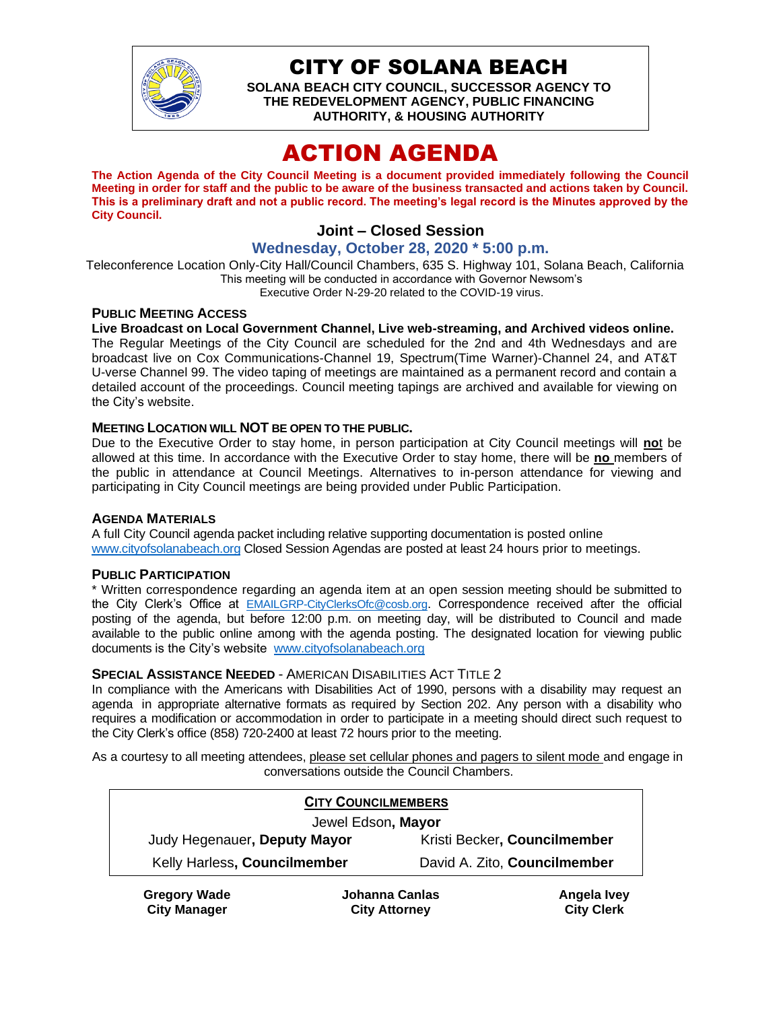

## CITY OF SOLANA BEACH

**SOLANA BEACH CITY COUNCIL, SUCCESSOR AGENCY TO THE REDEVELOPMENT AGENCY, PUBLIC FINANCING AUTHORITY, & HOUSING AUTHORITY**

# ACTION AGENDA

**The Action Agenda of the City Council Meeting is a document provided immediately following the Council Meeting in order for staff and the public to be aware of the business transacted and actions taken by Council. This is a preliminary draft and not a public record. The meeting's legal record is the Minutes approved by the City Council.**

### **Joint – Closed Session**

### **Wednesday, October 28, 2020 \* 5:00 p.m.**

Teleconference Location Only-City Hall/Council Chambers, 635 S. Highway 101, Solana Beach, California This meeting will be conducted in accordance with Governor Newsom's Executive Order N-29-20 related to the COVID-19 virus.

#### **PUBLIC MEETING ACCESS**

**Live Broadcast on Local Government Channel, Live web-streaming, and Archived videos online.** The Regular Meetings of the City Council are scheduled for the 2nd and 4th Wednesdays and are

broadcast live on Cox Communications-Channel 19, Spectrum(Time Warner)-Channel 24, and AT&T U-verse Channel 99. The video taping of meetings are maintained as a permanent record and contain a detailed account of the proceedings. Council meeting tapings are archived and available for viewing on the City's website.

#### **MEETING LOCATION WILL NOT BE OPEN TO THE PUBLIC.**

Due to the Executive Order to stay home, in person participation at City Council meetings will **no**t be allowed at this time. In accordance with the Executive Order to stay home, there will be **no** members of the public in attendance at Council Meetings. Alternatives to in-person attendance for viewing and participating in City Council meetings are being provided under Public Participation.

#### **AGENDA MATERIALS**

A full City Council agenda packet including relative supporting documentation is posted online [www.cityofsolanabeach.org](https://urldefense.proofpoint.com/v2/url?u=http-3A__www.cityofsolanabeach.org&d=DwQFAg&c=euGZstcaTDllvimEN8b7jXrwqOf-v5A_CdpgnVfiiMM&r=1XAsCUuqwK_tji2t0s1uIQ&m=wny2RVfZJ2tN24LkqZmkUWNpwL_peNtTZUBlTBZiMM4&s=6ATguqxJUOD7VVtloplAbyuyNaVcEh6Fl4q1iw55lCY&e=) Closed Session Agendas are posted at least 24 hours prior to meetings.

#### **PUBLIC PARTICIPATION**

\* Written correspondence regarding an agenda item at an open session meeting should be submitted to the City Clerk's Office at [EMAILGRP-CityClerksOfc@cosb.org](mailto:EMAILGRP-CityClerksOfc@cosb.org). Correspondence received after the official posting of the agenda, but before 12:00 p.m. on meeting day, will be distributed to Council and made available to the public online among with the agenda posting. The designated location for viewing public documents is the City's website [www.cityofsolanabeach.org](http://www.cityofsolanabeach.org/)

#### **SPECIAL ASSISTANCE NEEDED** - AMERICAN DISABILITIES ACT TITLE 2

In compliance with the Americans with Disabilities Act of 1990, persons with a disability may request an agenda in appropriate alternative formats as required by Section 202. Any person with a disability who requires a modification or accommodation in order to participate in a meeting should direct such request to the City Clerk's office (858) 720-2400 at least 72 hours prior to the meeting.

As a courtesy to all meeting attendees, please set cellular phones and pagers to silent mode and engage in conversations outside the Council Chambers.

| <b>CITY COUNCILMEMBERS</b>   |                              |  |  |
|------------------------------|------------------------------|--|--|
| Jewel Edson, Mayor           |                              |  |  |
| Judy Hegenauer, Deputy Mayor | Kristi Becker, Councilmember |  |  |
| Kelly Harless, Councilmember | David A. Zito, Councilmember |  |  |
|                              |                              |  |  |

**Gregory Wade City Manager**

**Johanna Canlas City Attorney**

**Angela Ivey City Clerk**